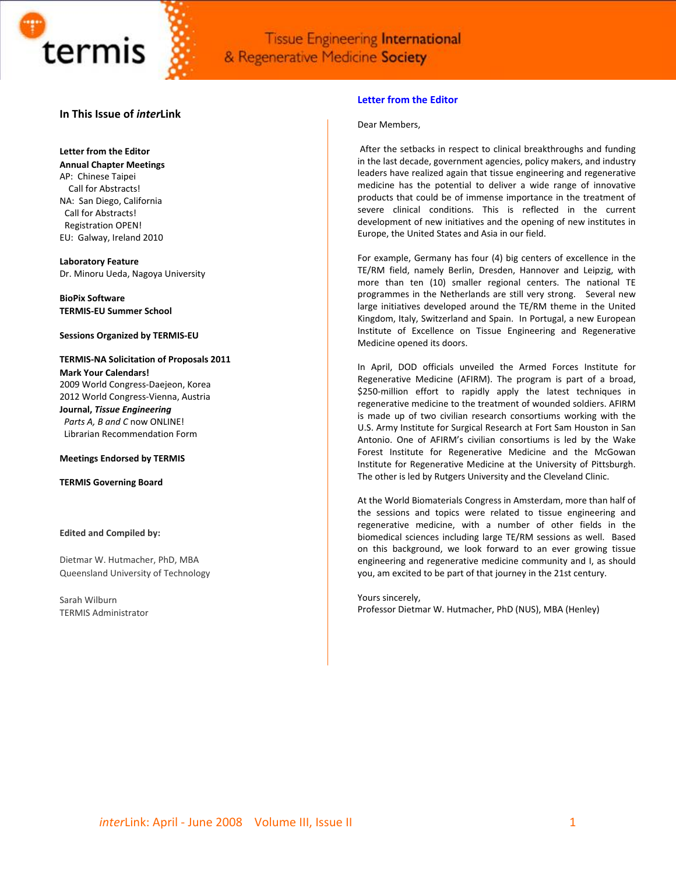

# **In This Issue of** *inter***Link**

### **Letter from the Editor**

**Annual Chapter Meetings**

AP: Chinese Taipei Call for Abstracts! NA: San Diego, California Call for Abstracts! Registration OPEN! EU: Galway, Ireland 2010

**Laboratory Feature**  Dr. Minoru Ueda, Nagoya University

**BioPix Software TERMIS‐EU Summer School**

### **Sessions Organized by TERMIS‐EU**

**TERMIS‐NA Solicitation of Proposals 2011 Mark Your Calendars!**  2009 World Congress‐Daejeon, Korea

2012 World Congress‐Vienna, Austria **Journal,** *Tissue Engineering Parts A, B and C* now ONLINE!

Librarian Recommendation Form

### **Meetings Endorsed by TERMIS**

**TERMIS Governing Board**

### **Edited and Compiled by:**

Dietmar W. Hutmacher, PhD, MBA Queensland University of Technology

Sarah Wilburn TERMIS Administrator

### **Letter from the Editor**

### Dear Members,

After the setbacks in respect to clinical breakthroughs and funding in the last decade, government agencies, policy makers, and industry leaders have realized again that tissue engineering and regenerative medicine has the potential to deliver a wide range of innovative products that could be of immense importance in the treatment of severe clinical conditions. This is reflected in the current development of new initiatives and the opening of new institutes in Europe, the United States and Asia in our field.

For example, Germany has four (4) big centers of excellence in the TE/RM field, namely Berlin, Dresden, Hannover and Leipzig, with more than ten (10) smaller regional centers. The national TE programmes in the Netherlands are still very strong. Several new large initiatives developed around the TE/RM theme in the United Kingdom, Italy, Switzerland and Spain. In Portugal, a new European Institute of Excellence on Tissue Engineering and Regenerative Medicine opened its doors.

In April, DOD officials unveiled the Armed Forces Institute for Regenerative Medicine (AFIRM). The program is part of a broad, \$250‐million effort to rapidly apply the latest techniques in regenerative medicine to the treatment of wounded soldiers. AFIRM is made up of two civilian research consortiums working with the U.S. Army Institute for Surgical Research at Fort Sam Houston in San Antonio. One of AFIRM's civilian consortiums is led by the Wake Forest Institute for Regenerative Medicine and the McGowan Institute for Regenerative Medicine at the University of Pittsburgh. The other is led by Rutgers University and the Cleveland Clinic.

At the World Biomaterials Congress in Amsterdam, more than half of the sessions and topics were related to tissue engineering and regenerative medicine, with a number of other fields in the biomedical sciences including large TE/RM sessions as well. Based on this background, we look forward to an ever growing tissue engineering and regenerative medicine community and I, as should you, am excited to be part of that journey in the 21st century.

Yours sincerely, Professor Dietmar W. Hutmacher, PhD (NUS), MBA (Henley)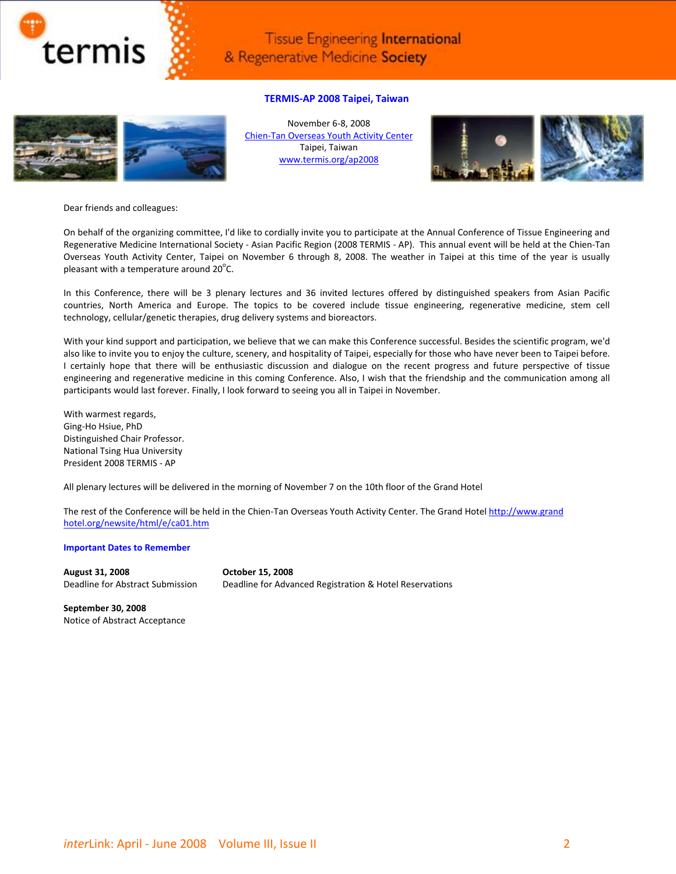

# **TERMIS‐AP 2008 Taipei, Taiwan**



November 6‐8, 2008 Chien‐Tan [Overseas](http://chientan.cyh.org.tw/eng/) Youth Activity Center Taipei, Taiwan [www.termis.org/ap2008](http://www.termis.org/ap2008)



Dear friends and colleagues:

On behalf of the organizing committee, I'd like to cordially invite you to participate at the Annual Conference of Tissue Engineering and Regenerative Medicine International Society ‐ Asian Pacific Region (2008 TERMIS ‐ AP). This annual event will be held at the Chien‐Tan Overseas Youth Activity Center, Taipei on November 6 through 8, 2008. The weather in Taipei at this time of the year is usually pleasant with a temperature around  $20^{\circ}$ C.

In this Conference, there will be 3 plenary lectures and 36 invited lectures offered by distinguished speakers from Asian Pacific countries, North America and Europe. The topics to be covered include tissue engineering, regenerative medicine, stem cell technology, cellular/genetic therapies, drug delivery systems and bioreactors.

With your kind support and participation, we believe that we can make this Conference successful. Besides the scientific program, we'd also like to invite you to enjoy the culture, scenery, and hospitality of Taipei, especially for those who have never been to Taipei before. I certainly hope that there will be enthusiastic discussion and dialogue on the recent progress and future perspective of tissue engineering and regenerative medicine in this coming Conference. Also, I wish that the friendship and the communication among all participants would last forever. Finally, I look forward to seeing you all in Taipei in November.

With warmest regards, Ging‐Ho Hsiue, PhD Distinguished Chair Professor. National Tsing Hua University President 2008 TERMIS ‐ AP

All plenary lectures will be delivered in the morning of November 7 on the 10th floor of the Grand Hotel

The rest of the Conference will be held in the Chien‐Tan Overseas Youth Activity Center. The Grand Hotel [http://www.grand](http://www.grand-hotel.org/newsite/html/e/ca01.htm) [hotel.org/newsite/html/e/ca01.htm](http://www.grand-hotel.org/newsite/html/e/ca01.htm)

### **Important Dates to Remember**

**August 31, 2008 October 15, 2008**

Deadline for Abstract Submission Deadline for Advanced Registration & Hotel Reservations

**September 30, 2008** Notice of Abstract Acceptance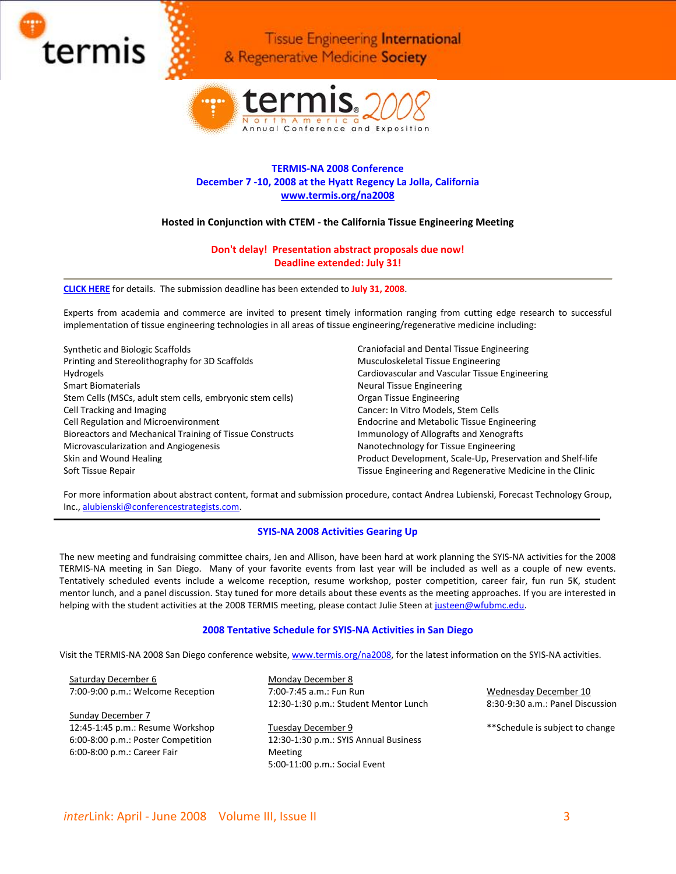



# **TERMIS‐NA 2008 Conference December 7 ‐10, 2008 at the Hyatt Regency La Jolla, California [www.termis.org/na2008](http://www.termis.org/na2008)**

# **Hosted in Conjunction with CTEM ‐ the California Tissue Engineering Meeting**

# **Don't delay! Presentation abstract proposals due now! Deadline extended: July 31!**

**[CLICK](http://cts.vresp.com/c/?ForecastTechnologyGr/e2307fa75c/10dae8d2ad/3388eea19b) HERE** for details. The submission deadline has been extended to **July 31, 2008**.

Experts from academia and commerce are invited to present timely information ranging from cutting edge research to successful implementation of tissue engineering technologies in all areas of tissue engineering/regenerative medicine including:

Synthetic and Biologic Scaffolds Printing and Stereolithography for 3D Scaffolds Hydrogels Smart Biomaterials Stem Cells (MSCs, adult stem cells, embryonic stem cells) Cell Tracking and Imaging Cell Regulation and Microenvironment Bioreactors and Mechanical Training of Tissue Constructs Microvascularization and Angiogenesis Skin and Wound Healing Soft Tissue Repair

Craniofacial and Dental Tissue Engineering Musculoskeletal Tissue Engineering Cardiovascular and Vascular Tissue Engineering Neural Tissue Engineering Organ Tissue Engineering Cancer: In Vitro Models, Stem Cells Endocrine and Metabolic Tissue Engineering Immunology of Allografts and Xenografts Nanotechnology for Tissue Engineering Product Development, Scale‐Up, Preservation and Shelf‐life Tissue Engineering and Regenerative Medicine in the Clinic

For more information about abstract content, format and submission procedure, contact Andrea Lubienski, Forecast Technology Group, Inc., [alubienski@conferencestrategists.com.](mailto:alubienski@conferencestrategists.com)

# **SYIS‐NA 2008 Activities Gearing Up**

The new meeting and fundraising committee chairs, Jen and Allison, have been hard at work planning the SYIS‐NA activities for the 2008 TERMIS‐NA meeting in San Diego. Many of your favorite events from last year will be included as well as a couple of new events. Tentatively scheduled events include a welcome reception, resume workshop, poster competition, career fair, fun run 5K, student mentor lunch, and a panel discussion. Stay tuned for more details about these events as the meeting approaches. If you are interested in helping with the student activities at the 2008 TERMIS meeting, please contact Julie Steen at [justeen@wfubmc.edu.](mailto:justeen@wfubmc.edu)

# **2008 Tentative Schedule for SYIS‐NA Activities in San Diego**

Visit the TERMIS-NA 2008 San Diego conference website, [www.termis.org/na2008,](http://www.termis.org/na2008) for the latest information on the SYIS-NA activities.

Saturday December 6 7:00‐9:00 p.m.: Welcome Reception

Sunday December 7 12:45‐1:45 p.m.: Resume Workshop 6:00‐8:00 p.m.: Poster Competition 6:00‐8:00 p.m.: Career Fair

Monday December 8 7:00‐7:45 a.m.: Fun Run 12:30‐1:30 p.m.: Student Mentor Lunch

Tuesday December 9 12:30‐1:30 p.m.: SYIS Annual Business Meeting 5:00‐11:00 p.m.: Social Event

Wednesday December 10 8:30‐9:30 a.m.: Panel Discussion

\*\*Schedule is subject to change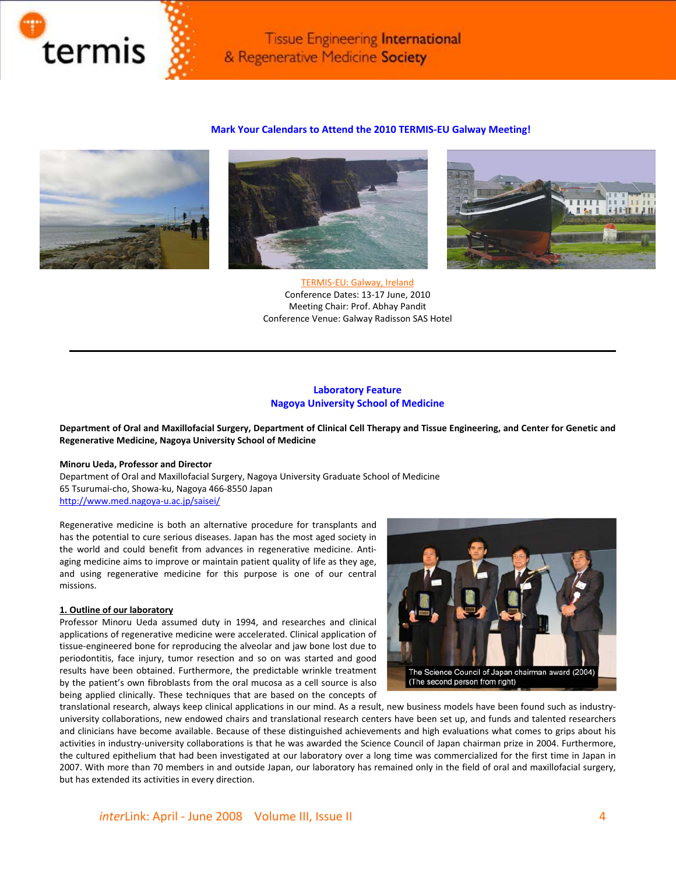

# **Mark Your Calendars to Attend the 2010 TERMIS‐EU Galway Meeting!**







TERMIS‐EU: Galway, Ireland Conference Dates: 13‐17 June, 2010 Meeting Chair: Prof. Abhay Pandit Conference Venue: Galway Radisson SAS Hotel

# **Laboratory Feature Nagoya University School of Medicine**

Department of Oral and Maxillofacial Surgery, Department of Clinical Cell Therapy and Tissue Engineering, and Center for Genetic and **Regenerative Medicine, Nagoya University School of Medicine**

### **Minoru Ueda, Professor and Director**

Department of Oral and Maxillofacial Surgery, Nagoya University Graduate School of Medicine 65 Tsurumai‐cho, Showa‐ku, Nagoya 466‐8550 Japan [http://www.med.nagoya](http://www.med.nagoya-u.ac.jp/saisei/)‐u.ac.jp/saisei/

Regenerative medicine is both an alternative procedure for transplants and has the potential to cure serious diseases. Japan has the most aged society in the world and could benefit from advances in regenerative medicine. Anti‐ aging medicine aims to improve or maintain patient quality of life as they age, and using regenerative medicine for this purpose is one of our central missions.

### **1. Outline of our laboratory**

Professor Minoru Ueda assumed duty in 1994, and researches and clinical applications of regenerative medicine were accelerated. Clinical application of tissue‐engineered bone for reproducing the alveolar and jaw bone lost due to periodontitis, face injury, tumor resection and so on was started and good results have been obtained. Furthermore, the predictable wrinkle treatment by the patient's own fibroblasts from the oral mucosa as a cell source is also being applied clinically. These techniques that are based on the concepts of



translational research, always keep clinical applications in our mind. As a result, new business models have been found such as industry‐ university collaborations, new endowed chairs and translational research centers have been set up, and funds and talented researchers and clinicians have become available. Because of these distinguished achievements and high evaluations what comes to grips about his activities in industry‐university collaborations is that he was awarded the Science Council of Japan chairman prize in 2004. Furthermore, the cultured epithelium that had been investigated at our laboratory over a long time was commercialized for the first time in Japan in 2007. With more than 70 members in and outside Japan, our laboratory has remained only in the field of oral and maxillofacial surgery, but has extended its activities in every direction.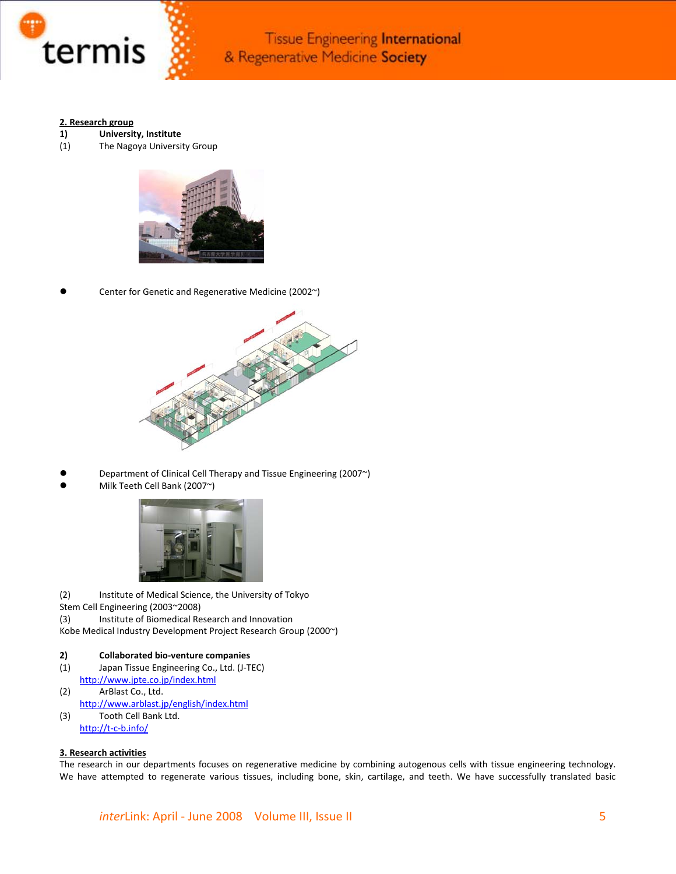

## **2. Research group**

- **1) University, Institute**
- (1) The Nagoya University Group



Center for Genetic and Regenerative Medicine (2002~)



- Department of Clinical Cell Therapy and Tissue Engineering (2007~)
- Milk Teeth Cell Bank (2007~)



(2) Institute of Medical Science, the University of Tokyo Stem Cell Engineering (2003~2008)

(3) Institute of Biomedical Research and Innovation

Kobe Medical Industry Development Project Research Group (2000~)

### **2) Collaborated bio‐venture companies**

- (1) Japan Tissue Engineering Co., Ltd. (J‐TEC) <http://www.jpte.co.jp/index.html>
- (2) ArBlast Co., Ltd. <http://www.arblast.jp/english/index.html> (3) Tooth Cell Bank Ltd.
- [http://t](http://t-c-b.info/)‐c‐b.info/

# **3. Research activities**

The research in our departments focuses on regenerative medicine by combining autogenous cells with tissue engineering technology. We have attempted to regenerate various tissues, including bone, skin, cartilage, and teeth. We have successfully translated basic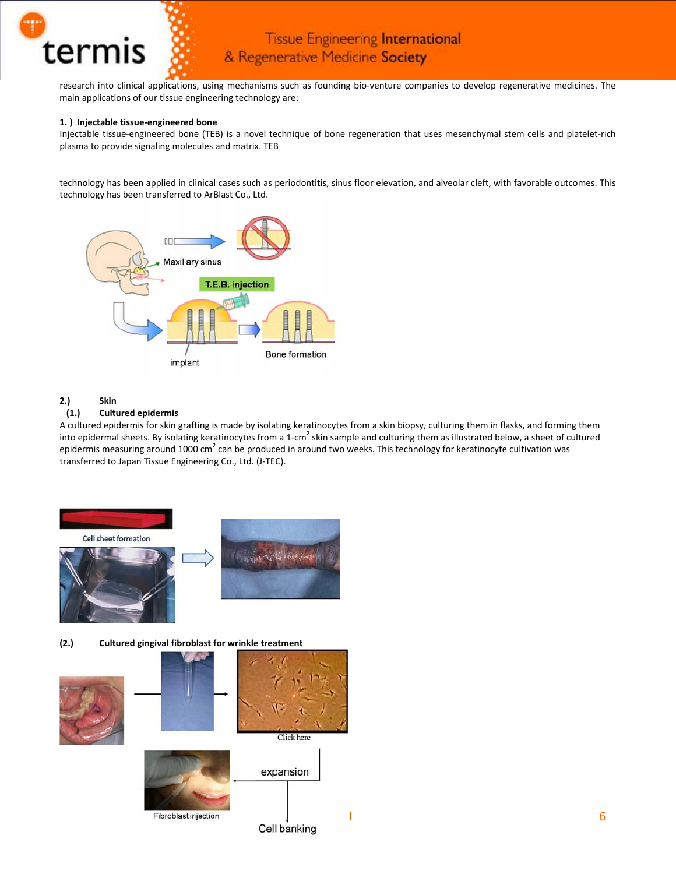

research into clinical applications, using mechanisms such as founding bio-venture companies to develop regenerative medicines. The main applications of our tissue engineering technology are:

# **1. ) Injectable tissue‐engineered bone**

Injectable tissue-engineered bone (TEB) is a novel technique of bone regeneration that uses mesenchymal stem cells and platelet-rich plasma to provide signaling molecules and matrix. TEB

technology has been applied in clinical cases such as periodontitis, sinus floor elevation, and alveolar cleft, with favorable outcomes. This technology has been transferred to ArBlast Co., Ltd.



# **2.) Skin**

# **(1.) Cultured epidermis**

A cultured epidermis for skin grafting is made by isolating keratinocytes from a skin biopsy, culturing them in flasks, and forming them into epidermal sheets. By isolating keratinocytes from a 1-cm<sup>2</sup> skin sample and culturing them as illustrated below, a sheet of cultured epidermis measuring around 1000 cm<sup>2</sup> can be produced in around two weeks. This technology for keratinocyte cultivation was transferred to Japan Tissue Engineering Co., Ltd. (J‐TEC).



**(2.) Cultured gingival fibroblast for wrinkle treatment**

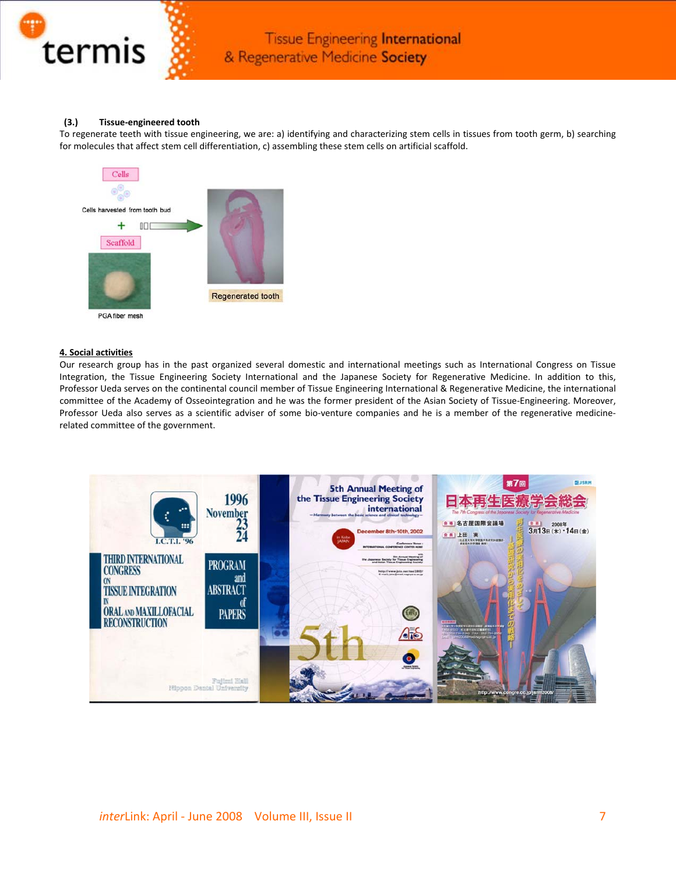

# **(3.) Tissue‐engineered tooth**

To regenerate teeth with tissue engineering, we are: a) identifying and characterizing stem cells in tissues from tooth germ, b) searching for molecules that affect stem cell differentiation, c) assembling these stem cells on artificial scaffold.



# **4. Social activities**

Our research group has in the past organized several domestic and international meetings such as International Congress on Tissue Integration, the Tissue Engineering Society International and the Japanese Society for Regenerative Medicine. In addition to this, Professor Ueda serves on the continental council member of Tissue Engineering International & Regenerative Medicine, the international committee of the Academy of Osseointegration and he was the former president of the Asian Society of Tissue-Engineering. Moreover, Professor Ueda also serves as a scientific adviser of some bio‐venture companies and he is a member of the regenerative medicine‐ related committee of the government.

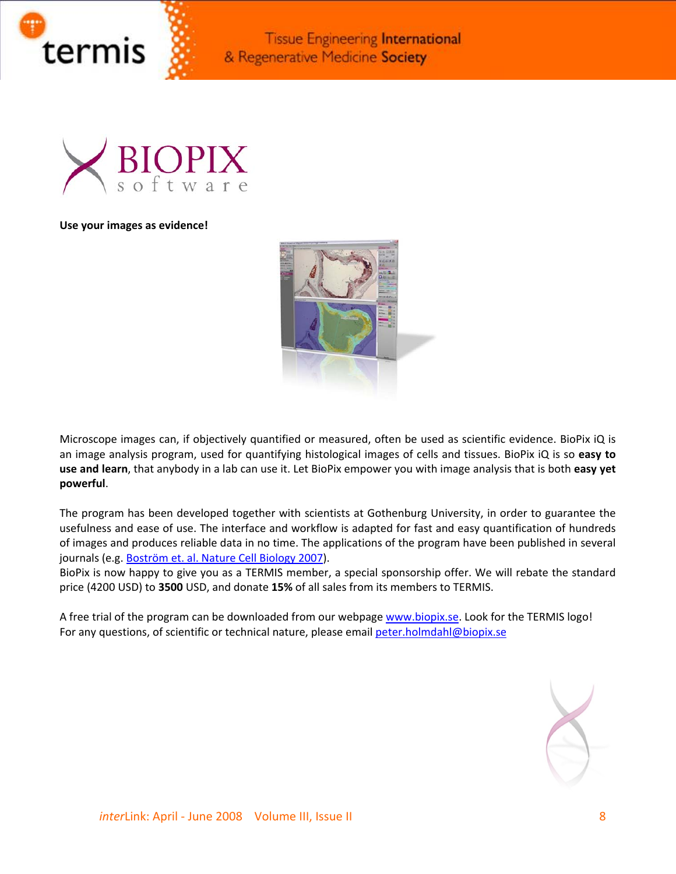



# **Use your images as evidence!**



Microscope images can, if objectively quantified or measured, often be used as scientific evidence. BioPix iQ is an image analysis program, used for quantifying histological images of cells and tissues. BioPix iQ is so **easy to use and learn**, that anybody in a lab can use it. Let BioPix empower you with image analysis that is both **easy yet powerful**.

The program has been developed together with scientists at Gothenburg University, in order to guarantee the usefulness and ease of use. The interface and workflow is adapted for fast and easy quantification of hundreds of images and produces reliable data in no time. The applications of the program have been published in several journals (e.g. [Boström](http://www.ncbi.nlm.nih.gov/sites/entrez?Db=pubmed&Cmd=ShowDetailView&TermToSearch=17922004&ordinalpos=2&itool=EntrezSystem2.PEntrez.Pubmed.Pubmed_ResultsPanel.Pubmed_RVDocSum) et. al. Nature Cell Biology 2007).

BioPix is now happy to give you as a TERMIS member, a special sponsorship offer. We will rebate the standard price (4200 USD) to **3500** USD, and donate **15%** of all sales from its members to TERMIS.

A free trial of the program can be downloaded from our webpage [www.biopix.se.](http://www.biopix.se/) Look for the TERMIS logo! For any questions, of scientific or technical nature, please email [peter.holmdahl@biopix.se](mailto:peter.holmdahl@biopix.se)

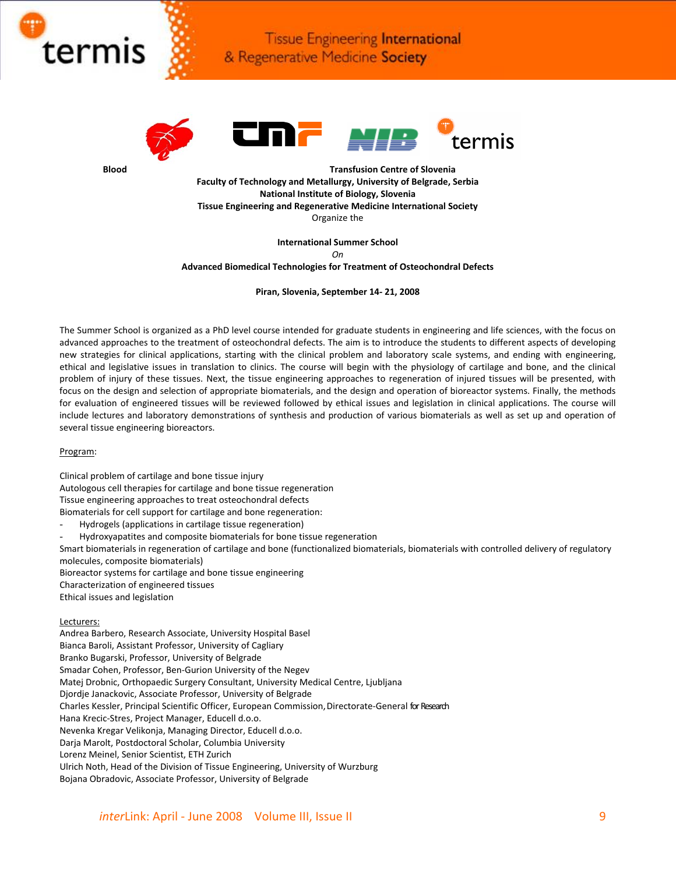





**Blood Transfusion Centre of Slovenia Faculty of Technology and Metallurgy, University of Belgrade, Serbia National Institute of Biology, Slovenia Tissue Engineering and Regenerative Medicine International Society** Organize the

> **International Summer School** *On*

**Advanced Biomedical Technologies for Treatment of Osteochondral Defects**

**Piran, Slovenia, September 14‐ 21, 2008**

The Summer School is organized as a PhD level course intended for graduate students in engineering and life sciences, with the focus on advanced approaches to the treatment of osteochondral defects. The aim is to introduce the students to different aspects of developing new strategies for clinical applications, starting with the clinical problem and laboratory scale systems, and ending with engineering, ethical and legislative issues in translation to clinics. The course will begin with the physiology of cartilage and bone, and the clinical problem of injury of these tissues. Next, the tissue engineering approaches to regeneration of injured tissues will be presented, with focus on the design and selection of appropriate biomaterials, and the design and operation of bioreactor systems. Finally, the methods for evaluation of engineered tissues will be reviewed followed by ethical issues and legislation in clinical applications. The course will include lectures and laboratory demonstrations of synthesis and production of various biomaterials as well as set up and operation of several tissue engineering bioreactors.

### Program:

Clinical problem of cartilage and bone tissue injury Autologous cell therapies for cartilage and bone tissue regeneration Tissue engineering approaches to treat osteochondral defects Biomaterials for cell support for cartilage and bone regeneration:

- Hydrogels (applications in cartilage tissue regeneration)
- Hydroxyapatites and composite biomaterials for bone tissue regeneration

Smart biomaterials in regeneration of cartilage and bone (functionalized biomaterials, biomaterials with controlled delivery of regulatory molecules, composite biomaterials)

Bioreactor systems for cartilage and bone tissue engineering

Characterization of engineered tissues

Ethical issues and legislation

### Lecturers:

Andrea Barbero, Research Associate, University Hospital Basel Bianca Baroli, Assistant Professor, University of Cagliary Branko Bugarski, Professor, University of Belgrade Smadar Cohen, Professor, Ben‐Gurion University of the Negev Matej Drobnic, Orthopaedic Surgery Consultant, University Medical Centre, Ljubljana Djordje Janackovic, Associate Professor, University of Belgrade Charles Kessler, Principal Scientific Officer, European Commission, Directorate-General for Research Hana Krecic‐Stres, Project Manager, Educell d.o.o. Nevenka Kregar Velikonja, Managing Director, Educell d.o.o. Darja Marolt, Postdoctoral Scholar, Columbia University Lorenz Meinel, Senior Scientist, ETH Zurich Ulrich Noth, Head of the Division of Tissue Engineering, University of Wurzburg Bojana Obradovic, Associate Professor, University of Belgrade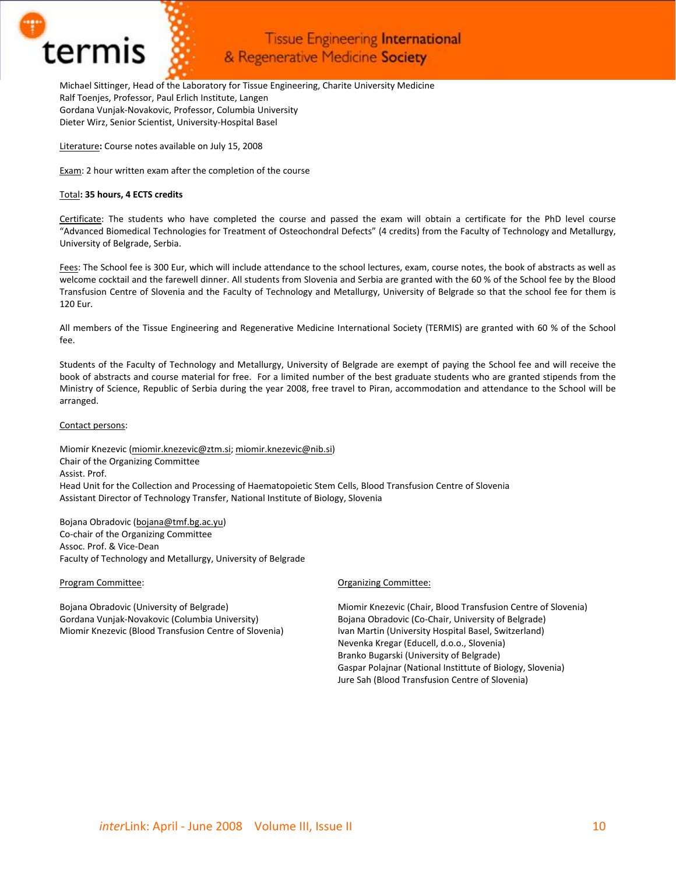

Michael Sittinger, Head of the Laboratory for Tissue Engineering, Charite University Medicine Ralf Toenjes, Professor, Paul Erlich Institute, Langen Gordana Vunjak‐Novakovic, Professor, Columbia University Dieter Wirz, Senior Scientist, University‐Hospital Basel

Literature**:** Course notes available on July 15, 2008

Exam: 2 hour written exam after the completion of the course

## Total**: 35 hours, 4 ECTS credits**

Certificate: The students who have completed the course and passed the exam will obtain a certificate for the PhD level course "Advanced Biomedical Technologies for Treatment of Osteochondral Defects" (4 credits) from the Faculty of Technology and Metallurgy, University of Belgrade, Serbia.

Fees: The School fee is 300 Eur, which will include attendance to the school lectures, exam, course notes, the book of abstracts as well as welcome cocktail and the farewell dinner. All students from Slovenia and Serbia are granted with the 60 % of the School fee by the Blood Transfusion Centre of Slovenia and the Faculty of Technology and Metallurgy, University of Belgrade so that the school fee for them is 120 Eur.

All members of the Tissue Engineering and Regenerative Medicine International Society (TERMIS) are granted with 60 % of the School fee.

Students of the Faculty of Technology and Metallurgy, University of Belgrade are exempt of paying the School fee and will receive the book of abstracts and course material for free. For a limited number of the best graduate students who are granted stipends from the Ministry of Science, Republic of Serbia during the year 2008, free travel to Piran, accommodation and attendance to the School will be arranged.

### Contact persons:

Miomir Knezevic ([miomir.knezevic@ztm.si](mailto:miomir.knezevic@ztm.si); [miomir.knezevic@nib.si\)](mailto:miomir.knezevic@nib.si) Chair of the Organizing Committee Assist. Prof. Head Unit for the Collection and Processing of Haematopoietic Stem Cells, Blood Transfusion Centre of Slovenia Assistant Director of Technology Transfer, National Institute of Biology, Slovenia

Bojana Obradovic [\(bojana@tmf.bg.ac.yu](mailto:bojana@tmf.bg.ac.yu)) Co‐chair of the Organizing Committee Assoc. Prof. & Vice‐Dean Faculty of Technology and Metallurgy, University of Belgrade

### Program Committee:

Bojana Obradovic (University of Belgrade) Gordana Vunjak‐Novakovic (Columbia University) Miomir Knezevic (Blood Transfusion Centre of Slovenia)

### Organizing Committee:

Miomir Knezevic (Chair, Blood Transfusion Centre of Slovenia) Bojana Obradovic (Co‐Chair, University of Belgrade) Ivan Martin (University Hospital Basel, Switzerland) Nevenka Kregar (Educell, d.o.o., Slovenia) Branko Bugarski (University of Belgrade) Gaspar Polajnar (National Instittute of Biology, Slovenia) Jure Sah (Blood Transfusion Centre of Slovenia)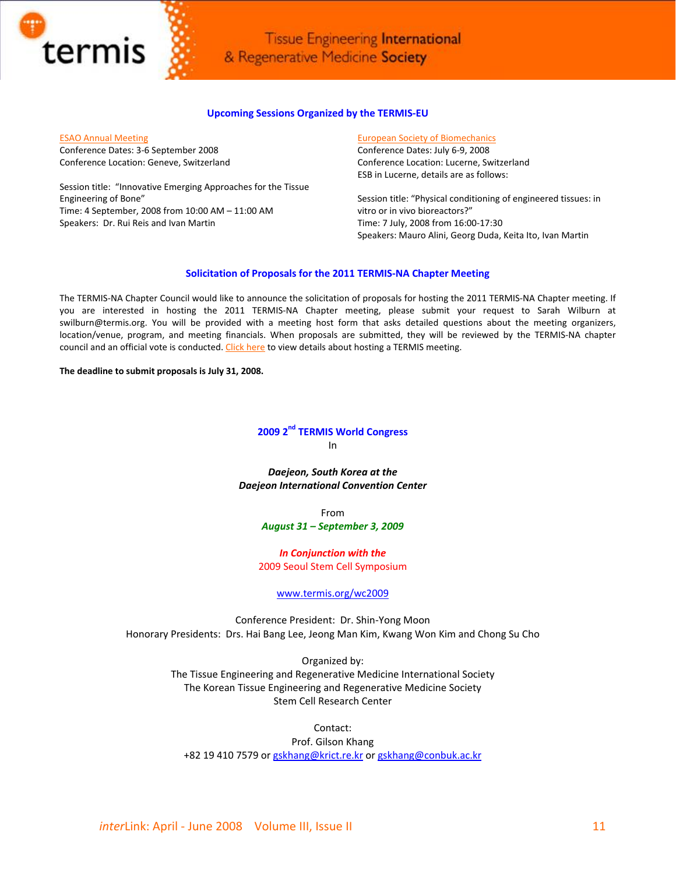

### **Upcoming Sessions Organized by the TERMIS‐EU**

ESAO Annual [Meeting](http://www.esao2008.medecine.unige.ch/)

Conference Dates: 3‐6 September 2008 Conference Location: Geneve, Switzerland

Session title: "Innovative Emerging Approaches for the Tissue Engineering of Bone" Time: 4 September, 2008 from 10:00 AM – 11:00 AM Speakers: Dr. Rui Reis and Ivan Martin

### European Society of [Biomechanics](http://www.esb2008.org/)

Conference Dates: July 6‐9, 2008 Conference Location: Lucerne, Switzerland ESB in Lucerne, details are as follows:

Session title: "Physical conditioning of engineered tissues: in vitro or in vivo bioreactors?" Time: 7 July, 2008 from 16:00‐17:30 Speakers: Mauro Alini, Georg Duda, Keita Ito, Ivan Martin

### **Solicitation of Proposals for the 2011 TERMIS‐NA Chapter Meeting**

The TERMIS‐NA Chapter Council would like to announce the solicitation of proposals for hosting the 2011 TERMIS‐NA Chapter meeting. If you are interested in hosting the 2011 TERMIS‐NA Chapter meeting, please submit your request to Sarah Wilburn at swilburn@termis.org. You will be provided with a meeting host form that asks detailed questions about the meeting organizers, location/venue, program, and meeting financials. When proposals are submitted, they will be reviewed by the TERMIS‐NA chapter council and an official vote is conducted. [Click](http://www.termis.org/meeting_host.php) here to view details about hosting a TERMIS meeting.

**The deadline to submit proposals is July 31, 2008.** 

**2009 2nd TERMIS World Congress** In

*Daejeon, South Korea at the Daejeon International Convention Center*

> From *August 31 – September 3, 2009*

*In Conjunction with the* 2009 Seoul Stem Cell Symposium

### [www.termis.org/wc2009](http://www.termis.org/wc2009)

Conference President: Dr. Shin‐Yong Moon Honorary Presidents: Drs. Hai Bang Lee, Jeong Man Kim, Kwang Won Kim and Chong Su Cho

> Organized by: The Tissue Engineering and Regenerative Medicine International Society The Korean Tissue Engineering and Regenerative Medicine Society Stem Cell Research Center

Contact: Prof. Gilson Khang +82 19 410 7579 or [gskhang@krict.re.kr](mailto:gskhang@krict.re.kr) or [gskhang@conbuk.ac.kr](mailto:gskhang@conbuk.ac.kr)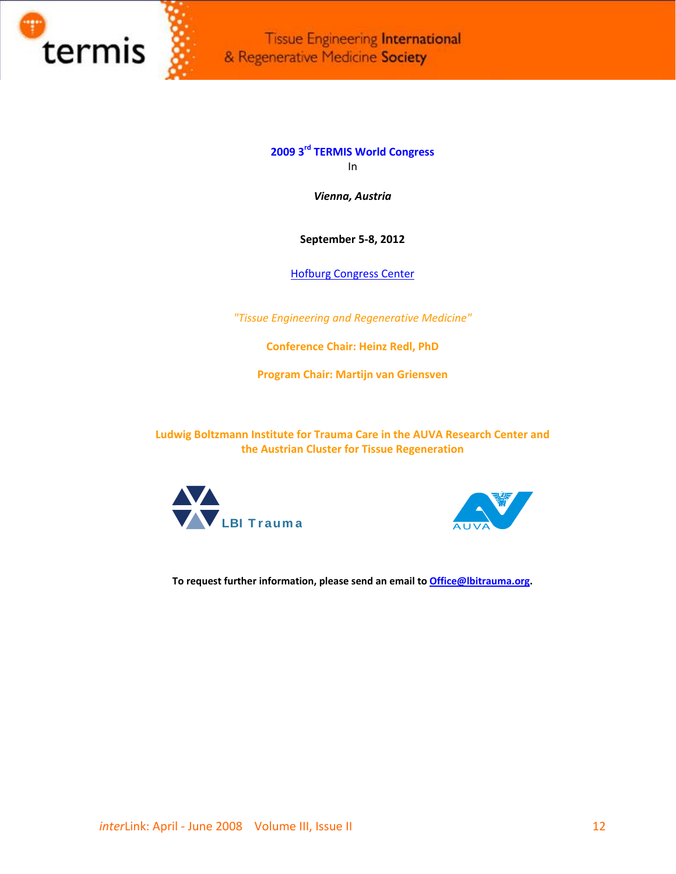

> **2009 3rd TERMIS World Congress** In

> > *Vienna, Austria*

**September 5‐8, 2012**

Hofburg [Congress](http://www.termis.org/wc2012/docs/Termis_Berwerbung_wien_Vienna.pdf) Center

*"Tissue Engineering and Regenerative Medicine"*

**Conference Chair: Heinz Redl, PhD**

**Program Chair: Martijn van Griensven**

**Ludwig Boltzmann Institute for Trauma Care in the AUVA Research Center and the Austrian Cluster for Tissue Regeneration**





**To request further information, please send an email to [Office@lbitrauma.org](mailto:Office@lbitrauma.org).**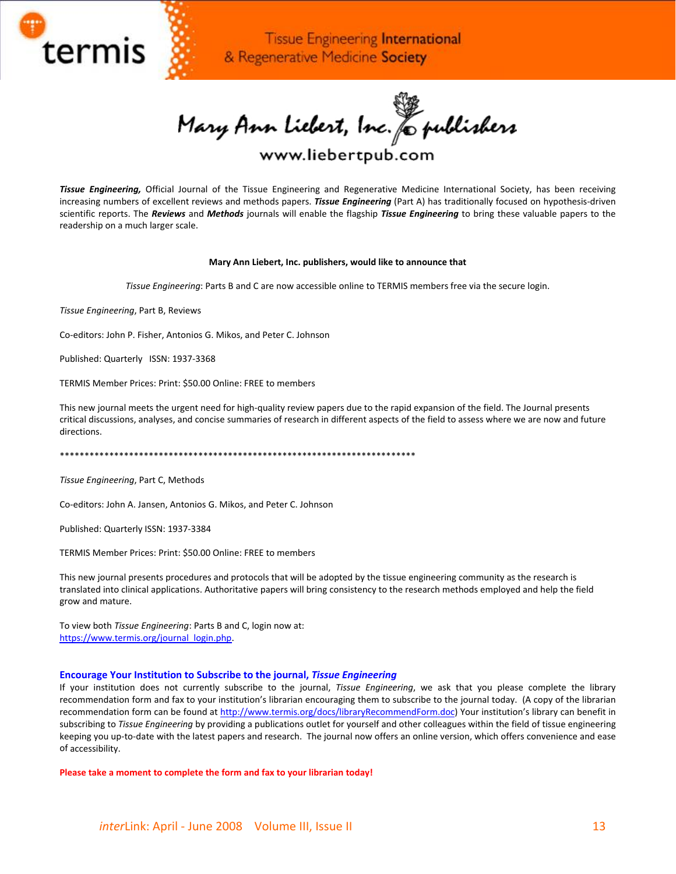

Mary Ann Liebert, Inc. & publishers

# www.liebertpub.com

*Tissue Engineering,* Official Journal of the Tissue Engineering and Regenerative Medicine International Society, has been receiving increasing numbers of excellent reviews and methods papers. *Tissue Engineering* (Part A) has traditionally focused on hypothesis‐driven scientific reports. The *Reviews* and *Methods* journals will enable the flagship *Tissue Engineering* to bring these valuable papers to the readership on a much larger scale.

### **Mary Ann Liebert, Inc. publishers, would like to announce that**

*Tissue Engineering*: Parts B and C are now accessible online to TERMIS members free via the secure login.

*Tissue Engineering*, Part B, Reviews

Co‐editors: John P. Fisher, Antonios G. Mikos, and Peter C. Johnson

Published: Quarterly ISSN: 1937‐3368

TERMIS Member Prices: Print: \$50.00 Online: FREE to members

This new journal meets the urgent need for high-quality review papers due to the rapid expansion of the field. The Journal presents critical discussions, analyses, and concise summaries of research in different aspects of the field to assess where we are now and future directions.

\*\*\*\*\*\*\*\*\*\*\*\*\*\*\*\*\*\*\*\*\*\*\*\*\*\*\*\*\*\*\*\*\*\*\*\*\*\*\*\*\*\*\*\*\*\*\*\*\*\*\*\*\*\*\*\*\*\*\*\*\*\*\*\*\*\*\*\*\*\*\*\*

*Tissue Engineering*, Part C, Methods

Co‐editors: John A. Jansen, Antonios G. Mikos, and Peter C. Johnson

Published: Quarterly ISSN: 1937‐3384

TERMIS Member Prices: Print: \$50.00 Online: FREE to members

This new journal presents procedures and protocols that will be adopted by the tissue engineering community as the research is translated into clinical applications. Authoritative papers will bring consistency to the research methods employed and help the field grow and mature.

To view both *Tissue Engineering*: Parts B and C, login now at: [https://www.termis.org/journal\\_login.php.](https://www.termis.org/journal_login.php)

### **Encourage Your Institution to Subscribe to the journal,** *Tissue Engineering*

If your institution does not currently subscribe to the journal, *Tissue Engineering*, we ask that you please complete the library recommendation form and fax to your institution's librarian encouraging them to subscribe to the journal today. (A copy of the librarian recommendation form can be found at <http://www.termis.org/docs/libraryRecommendForm.doc>) Your institution's library can benefit in subscribing to *Tissue Engineering* by providing a publications outlet for yourself and other colleagues within the field of tissue engineering keeping you up‐to‐date with the latest papers and research. The journal now offers an online version, which offers convenience and ease of accessibility.

**Please take a moment to complete the form and fax to your librarian today!**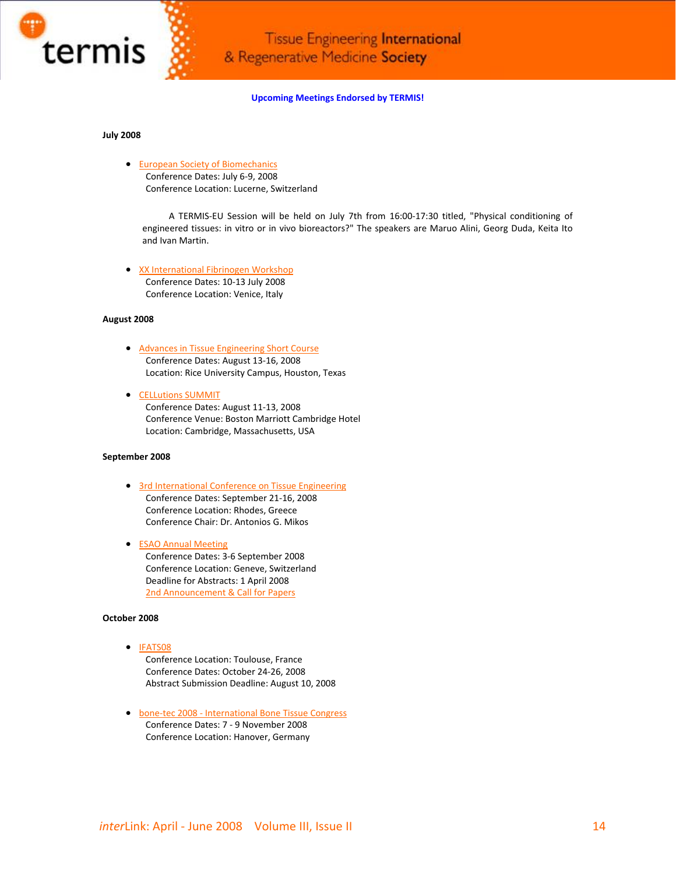

**Upcoming Meetings Endorsed by TERMIS!**

### **July 2008**

• European Society of [Biomechanics](http://www.esb2008.org/) Conference Dates: July 6‐9, 2008 Conference Location: Lucerne, Switzerland

A TERMIS‐EU Session will be held on July 7th from 16:00‐17:30 titled, "Physical conditioning of engineered tissues: in vitro or in vivo bioreactors?" The speakers are Maruo Alini, Georg Duda, Keita Ito and Ivan Martin.

• XX [International](http://alisf1.univpm.it/XXifw/) Fibrinogen Workshop Conference Dates: 10‐13 July 2008 Conference Location: Venice, Italy

### **August 2008**

- Advances in Tissue [Engineering](http://tissue.rice.edu/) Short Course Conference Dates: August 13‐16, 2008 Location: Rice University Campus, Houston, Texas
- [CELLutions](http://www.cellutionssummit.com/) SUMMIT Conference Dates: August 11‐13, 2008 Conference Venue: Boston Marriott Cambridge Hotel Location: Cambridge, Massachusetts, USA

### **September 2008**

- 3rd [International](http://www.aegeanconferences.org/) Conference on Tissue Engineering Conference Dates: September 21‐16, 2008 Conference Location: Rhodes, Greece Conference Chair: Dr. Antonios G. Mikos
- ESAO Annual [Meeting](http://www.esao2008.medecine.unige.ch/) Conference Dates: 3‐6 September 2008 Conference Location: Geneve, Switzerland Deadline for Abstracts: 1 April 2008 2nd [Announcement](http://www.termis.org/docs/ESAO_2ndAnnouncement.pdf) & Call for Papers

### **October 2008**

• [IFATS08](http://www.ifats08.org/)

Conference Location: Toulouse, France Conference Dates: October 24‐26, 2008 Abstract Submission Deadline: August 10, 2008

• bone‐tec 2008 ‐ [International](http://www.bone-tec.com/) Bone Tissue Congress Conference Dates: 7 ‐ 9 November 2008 Conference Location: Hanover, Germany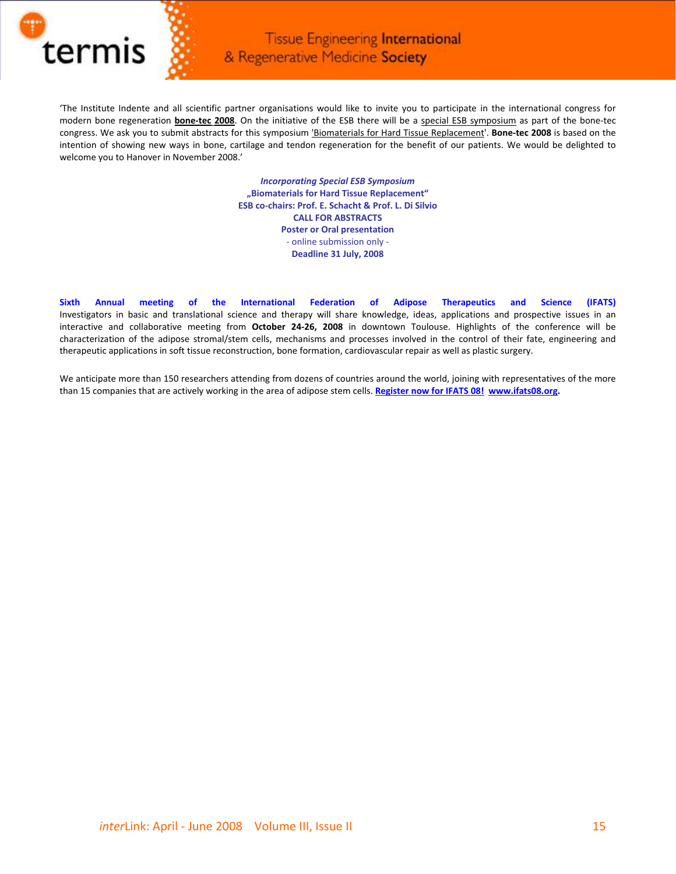

'The Institute Indente and all scientific partner organisations would like to invite you to participate in the international congress for modern bone regeneration **bone‐tec 2008**. On the initiative of the ESB there will be a special ESB symposium as part of the bone‐tec congress. We ask you to submit abstracts for this symposium 'Biomaterials for Hard Tissue Replacement'. **Bone‐tec 2008** is based on the intention of showing new ways in bone, cartilage and tendon regeneration for the benefit of our patients. We would be delighted to welcome you to Hanover in November 2008.'

> *Incorporating Special ESB Symposium* **"Biomaterials for Hard Tissue Replacement" ESB co‐chairs: Prof. E. Schacht & Prof. L. Di Silvio CALL FOR ABSTRACTS Poster or Oral presentation** ‐ online submission only ‐ **Deadline 31 July, 2008**

**Sixth Annual meeting of the International Federation of Adipose Therapeutics and Science (IFATS)** Investigators in basic and translational science and therapy will share knowledge, ideas, applications and prospective issues in an interactive and collaborative meeting from **October 24‐26, 2008** in downtown Toulouse. Highlights of the conference will be characterization of the adipose stromal/stem cells, mechanisms and processes involved in the control of their fate, engineering and therapeutic applications in soft tissue reconstruction, bone formation, cardiovascular repair as well as plastic surgery.

We anticipate more than 150 researchers attending from dozens of countries around the world, joining with representatives of the more than 15 companies that are actively working in the area of adipose stem cells. **[Register](http://www.yourdirectmarketing.net/lt/t_go.php?i=1887&e=MTM0MjQ0NQ==&l=-http--ifats08.org/register-for-ifats-08.html) now for IFATS 08! [www.ifats08.org](http://www.ifats08.org/).**